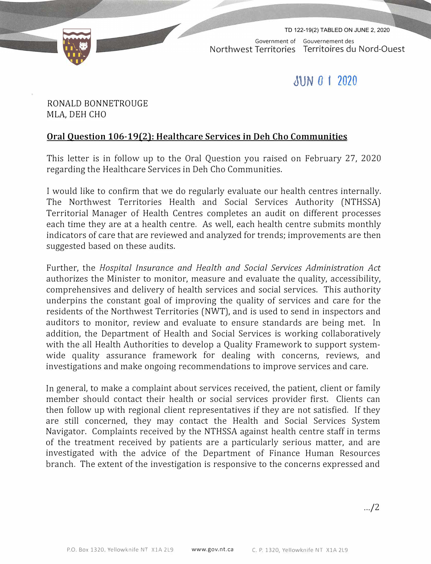

Government of Gouvernement des Northwest Territories Territoires du Nord-Quest TD 122-19(2) TABLED ON JUNE 2, 2020

## **JUN O 1 2020**

RONALD BONNETROUGE MLA, DEH CHO

## **Oral Question 106-19(2): Healthcare Services in Deh Cho Communities**

This letter is in follow up to the Oral Question you raised on February 27, 2020 regarding the Healthcare Services in Deh Cho Communities.

I would like to confirm that we do regularly evaluate our health centres internally. The Northwest Territories Health and Social Services Authority (NTHSSA) Territorial Manager of Health Centres completes an audit on different processes each time they are at a health centre. As well, each health centre submits monthly indicators of care that are reviewed and analyzed for trends; improvements are then suggested based on these audits.

Further, the *Hospital Insurance and Health and Social Services Administration Act*  authorizes the Minister to monitor, measure and evaluate the quality, accessibility, comprehensives and delivery of health services and social services. This authority underpins the constant goal of improving the quality of services and care for the residents of the Northwest Territories (NWT), and is used to send in inspectors and auditors to monitor, review and evaluate to ensure standards are being met. In addition, the Department of Health and Social Services is working collaboratively with the all Health Authorities to develop a Quality Framework to support systemwide quality assurance framework for dealing with concerns, reviews, and investigations and make ongoing recommendations to improve services and care.

In general, to make a complaint about services received, the patient, client or family member should contact their health or social services provider first. Clients can then follow up with regional client representatives if they are not satisfied. If they are still concerned, they may contact the Health and Social Services System Navigator. Complaints received by the NTHSSA against health centre staff in terms of the treatment received by patients are a particularly serious matter, and are investigated with the advice of the Department of Finance Human Resources branch. The extent of the investigation is responsive to the concerns expressed and

 $... / 2$